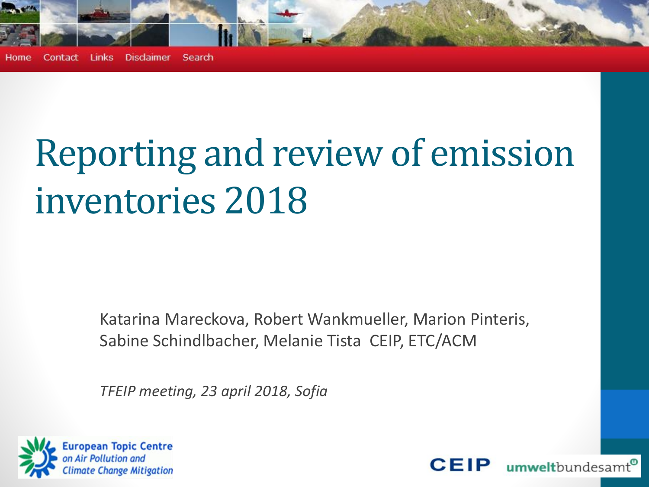

**Disclaimer** Search Contact **Links** Home

# Reporting and review of emission inventories 2018

Katarina Mareckova, Robert Wankmueller, Marion Pinteris, Sabine Schindlbacher, Melanie Tista CEIP, ETC/ACM

*TFEIP meeting, 23 april 2018, Sofia*



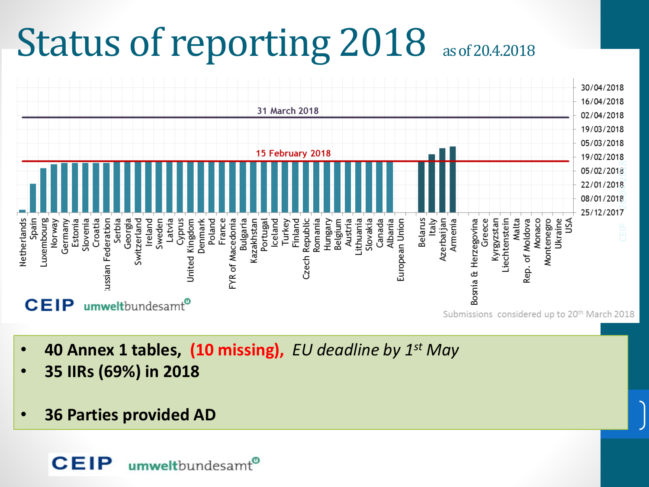# Status of reporting 2018 as of 20.4.2018



2

- **40 Annex 1 tables, (10 missing),** *EU deadline by 1st May*
- **35 IIRs (69%) in 2018**
- **36 Parties provided AD**

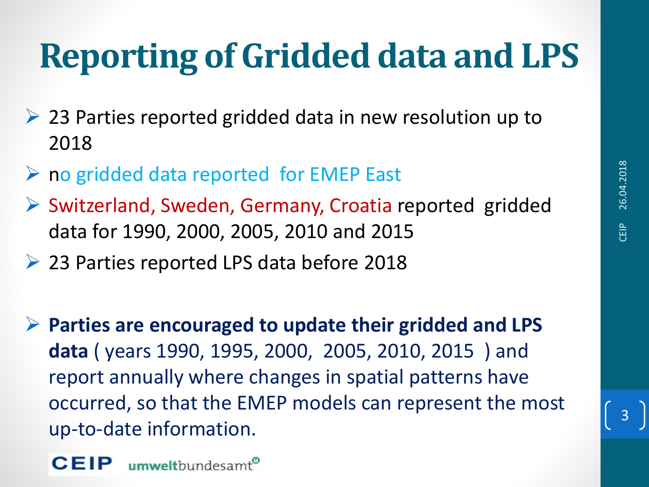## **Reporting of Gridded data and LPS**

- ➢ 23 Parties reported gridded data in new resolution up to 2018
- ➢ no gridded data reported for EMEP East
- ➢ Switzerland, Sweden, Germany, Croatia reported gridded data for 1990, 2000, 2005, 2010 and 2015
- ➢ 23 Parties reported LPS data before 2018

➢ **Parties are encouraged to update their gridded and LPS data** ( years 1990, 1995, 2000, 2005, 2010, 2015 ) and report annually where changes in spatial patterns have occurred, so that the EMEP models can represent the most up-to-date information.

umweltbundesamt®

3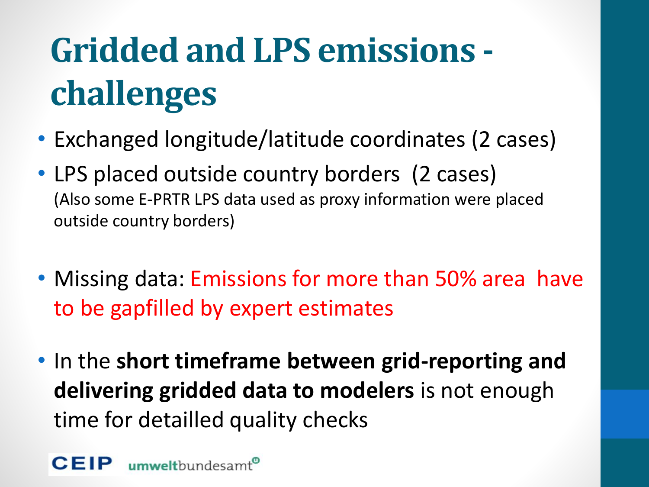# **Gridded and LPS emissions challenges**

- Exchanged longitude/latitude coordinates (2 cases)
- LPS placed outside country borders (2 cases) (Also some E-PRTR LPS data used as proxy information were placed outside country borders)
- Missing data: Emissions for more than 50% area have to be gapfilled by expert estimates
- In the **short timeframe between grid-reporting and delivering gridded data to modelers** is not enough time for detailled quality checks

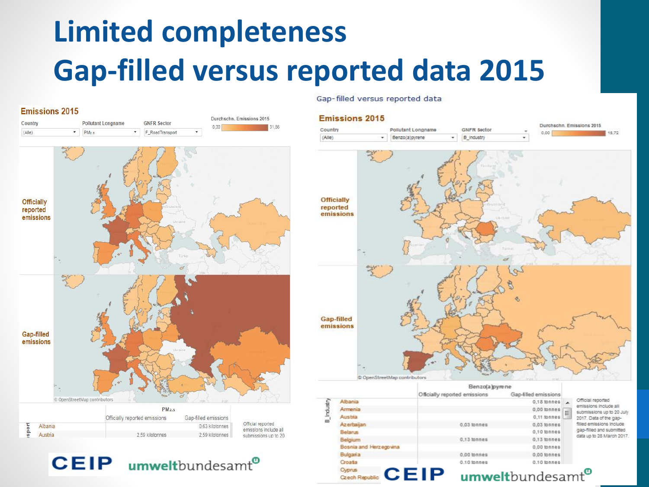### **Limited completeness Gap-filled versus reported data 2015**

#### **Emissions 2015**





Gap-filled versus reported data

#### **Emissions 2015**



Benzo(a)pyrene Officially reported emissions Gao-filled emissions Official reported Albania  $0.18$  tonnes **B** Industr emissions include all Armenia  $0,00$  tonnes submissions up to 20 July Austria 0.11 tonnes 2017. Data of the gap-Azerbailar filled emissions include  $0.03$  tonnes  $0,03$  tonnes gap-filled and submitted 0,10 tonnes Belarus lata up to 28 March 2017. Belgium 0,13 tonnes  $0.13$  lonner Bosnia and Herzegovina 0,00 tonnes Bulgaria 0.00 tonnes 0.00 tonnes  $0.10$  tonnes 0.10 tonnes Croata Cyprus

**CEIP** Czech Republic

umweltbundesamt<sup>®</sup>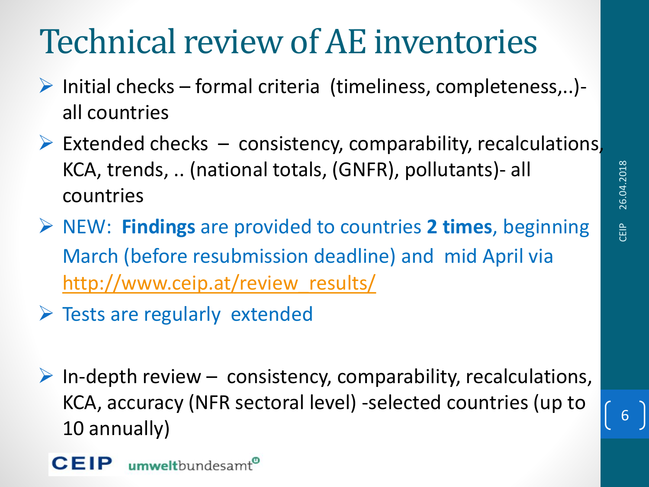## Technical review of AE inventories

- $\triangleright$  Initial checks formal criteria (timeliness, completeness,..)all countries
- $\triangleright$  Extended checks  $-$  consistency, comparability, recalculations KCA, trends, .. (national totals, (GNFR), pollutants)- all countries
- ➢ NEW: **Findings** are provided to countries **2 times**, beginning March (before resubmission deadline) and mid April via [http://www.ceip.at/review\\_results/](http://www.ceip.at/review_results/)
- $\triangleright$  Tests are regularly extended
- $\triangleright$  In-depth review consistency, comparability, recalculations, KCA, accuracy (NFR sectoral level) -selected countries (up to 10 annually)

6

**CEIP** umweltbundesam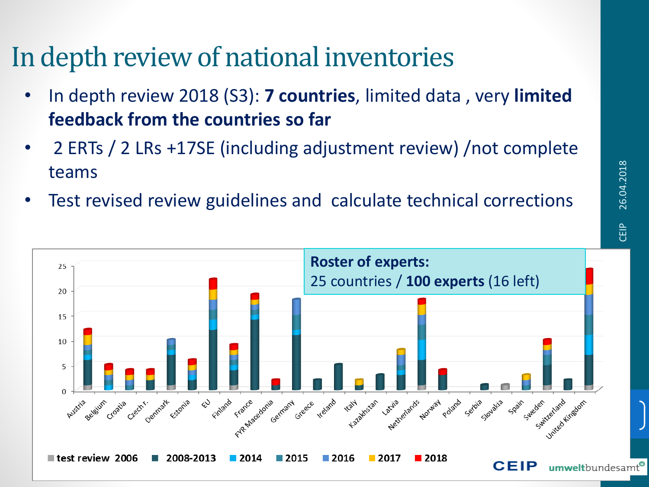#### In depth review of national inventories

- In depth review 2018 (S3): **7 countries**, limited data , very **limited feedback from the countries so far**
- 2 ERTs / 2 LRs +17SE (including adjustment review) /not complete teams

26.04.2018

Test revised review guidelines and calculate technical corrections

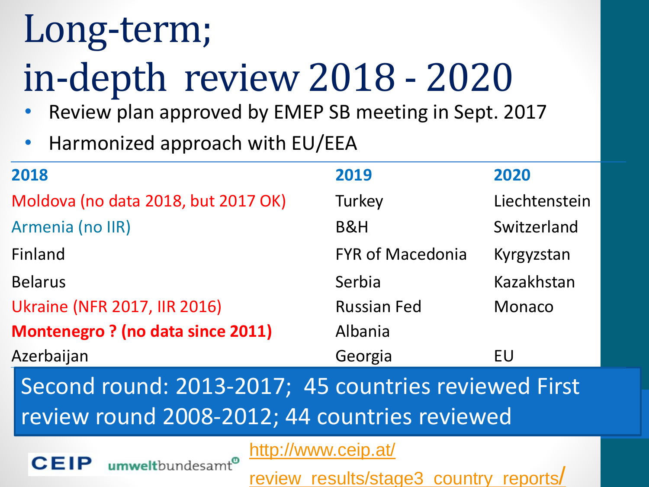# Long-term;

# in-depth review 2018 - 2020

- Review plan approved by EMEP SB meeting in Sept. 2017
- Harmonized approach with EU/EEA

umweltbundesamt®

| 2018                                     | 2019                    | 2020          |
|------------------------------------------|-------------------------|---------------|
| Moldova (no data 2018, but 2017 OK)      | Turkey                  | Liechtenstein |
| Armenia (no IIR)                         | <b>B&amp;H</b>          | Switzerland   |
| Finland                                  | <b>FYR of Macedonia</b> | Kyrgyzstan    |
| <b>Belarus</b>                           | Serbia                  | Kazakhstan    |
| <b>Ukraine (NFR 2017, IIR 2016)</b>      | <b>Russian Fed</b>      | Monaco        |
| <b>Montenegro ? (no data since 2011)</b> | Albania                 |               |
| Azerbaijan                               | Georgia                 | EU            |

Second round: 2013-2017; 45 countries reviewed First review round 2008-2012; 44 countries reviewed

http://www.ceip.at/

[review\\_results/stage3\\_country\\_reports](http://www.ceip.at/ms/ceip_home1/ceip_home/review_results/stage3_country_reports/)/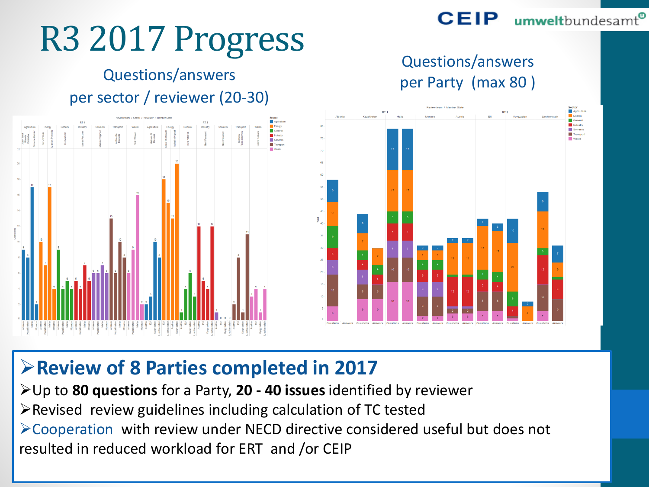#### **CEIP** umweltbundesamt<sup>®</sup>

## R3 2017 Progress

#### Questions/answers per sector / reviewer (20-30)







#### ➢**Review of 8 Parties completed in 2017**

➢Up to **80 questions** for a Party, **20 - 40 issues** identified by reviewer ➢Revised review guidelines including calculation of TC tested ➢Cooperation with review under NECD directive considered useful but does not resulted in reduced workload for ERT and /or CEIP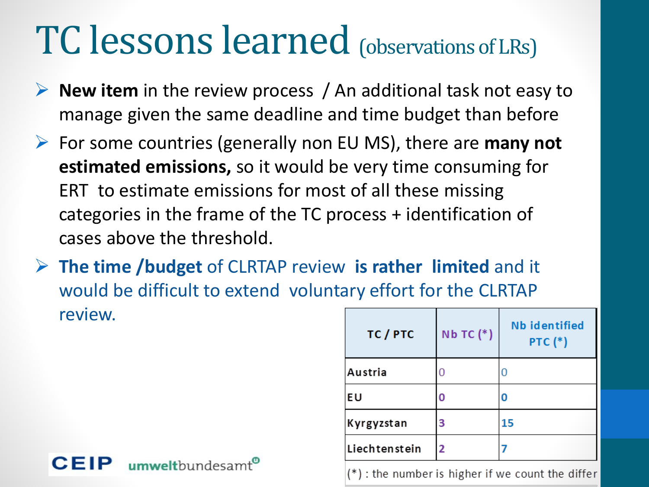## TC lessons learned (observations of LRs)

- ➢ **New item** in the review process / An additional task not easy to manage given the same deadline and time budget than before
- ➢ For some countries (generally non EU MS), there are **many not estimated emissions,** so it would be very time consuming for ERT to estimate emissions for most of all these missing categories in the frame of the TC process + identification of cases above the threshold.
- ➢ **The time /budget** of CLRTAP review **is rather limited** and it would be difficult to extend voluntary effort for the CLRTAP review.

| TC / PTC      | $Nb$ TC $(*)$ | <b>Nb identified</b><br><b>PTC (*)</b> |
|---------------|---------------|----------------------------------------|
| Austria       |               |                                        |
| EU            | 0             |                                        |
| Kyrgyzstan    | 3             | 15                                     |
| Liechtenstein | 2             |                                        |

(\*) : the number is higher if we count the differ

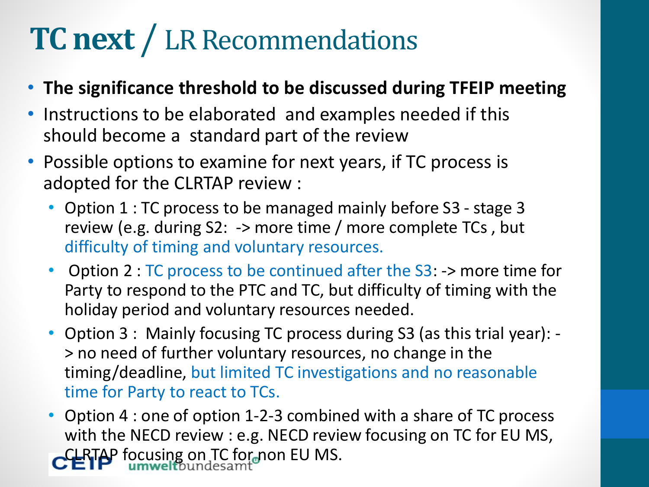### **TC next** / LR Recommendations

- **The significance threshold to be discussed during TFEIP meeting**
- Instructions to be elaborated and examples needed if this should become a standard part of the review
- Possible options to examine for next years, if TC process is adopted for the CLRTAP review :
	- Option 1 : TC process to be managed mainly before S3 stage 3 review (e.g. during S2: -> more time / more complete TCs , but difficulty of timing and voluntary resources.
	- Option 2 : TC process to be continued after the S3: -> more time for Party to respond to the PTC and TC, but difficulty of timing with the holiday period and voluntary resources needed.
	- Option 3 : Mainly focusing TC process during S3 (as this trial year): > no need of further voluntary resources, no change in the timing/deadline, but limited TC investigations and no reasonable time for Party to react to TCs.
	- Option 4 : one of option 1-2-3 combined with a share of TC process with the NECD review : e.g. NECD review focusing on TC for EU MS, CLRTAP focusing on TC for non EU MS.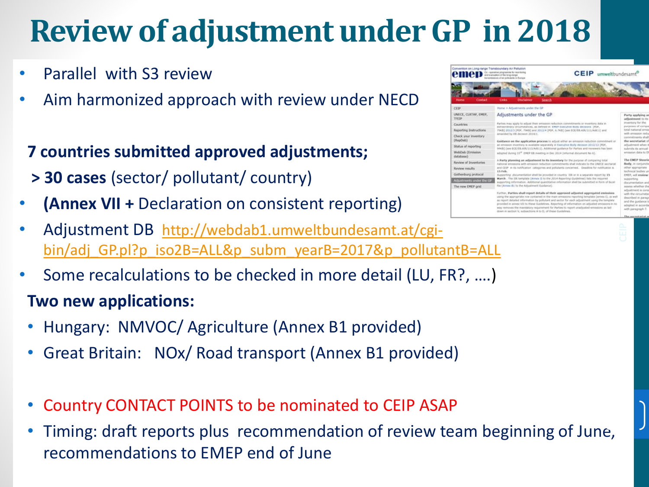### **Review of adjustment under GP in 2018**

- Parallel with S3 review
- Aim harmonized approach with review under NECD
- **7 countries submitted approved adjustments;**
- **> 30 cases** (sector/ pollutant/ country)
- **(Annex VII +** Declaration on consistent reporting)
- Adjustment DB http://webdab1.umweltbundesamt.at/cgi[bin/adj\\_GP.pl?p\\_iso2B=ALL&p\\_subm\\_yearB=2017&p\\_pollutantB=ALL](http://webdab1.umweltbundesamt.at/cgi-bin/adj_GP.pl?p_iso2B=ALL&p_subm_yearB=2017&p_pollutantB=ALL)
- Some recalculations to be checked in more detail (LU, FR?, ….)

#### **Two new applications:**

- Hungary: NMVOC/ Agriculture (Annex B1 provided)
- Great Britain: NOx/ Road transport (Annex B1 provided)
- Country CONTACT POINTS to be nominated to CEIP ASAP
- Timing: draft reports plus recommendation of review team beginning of June, recommendations to EMEP end of June